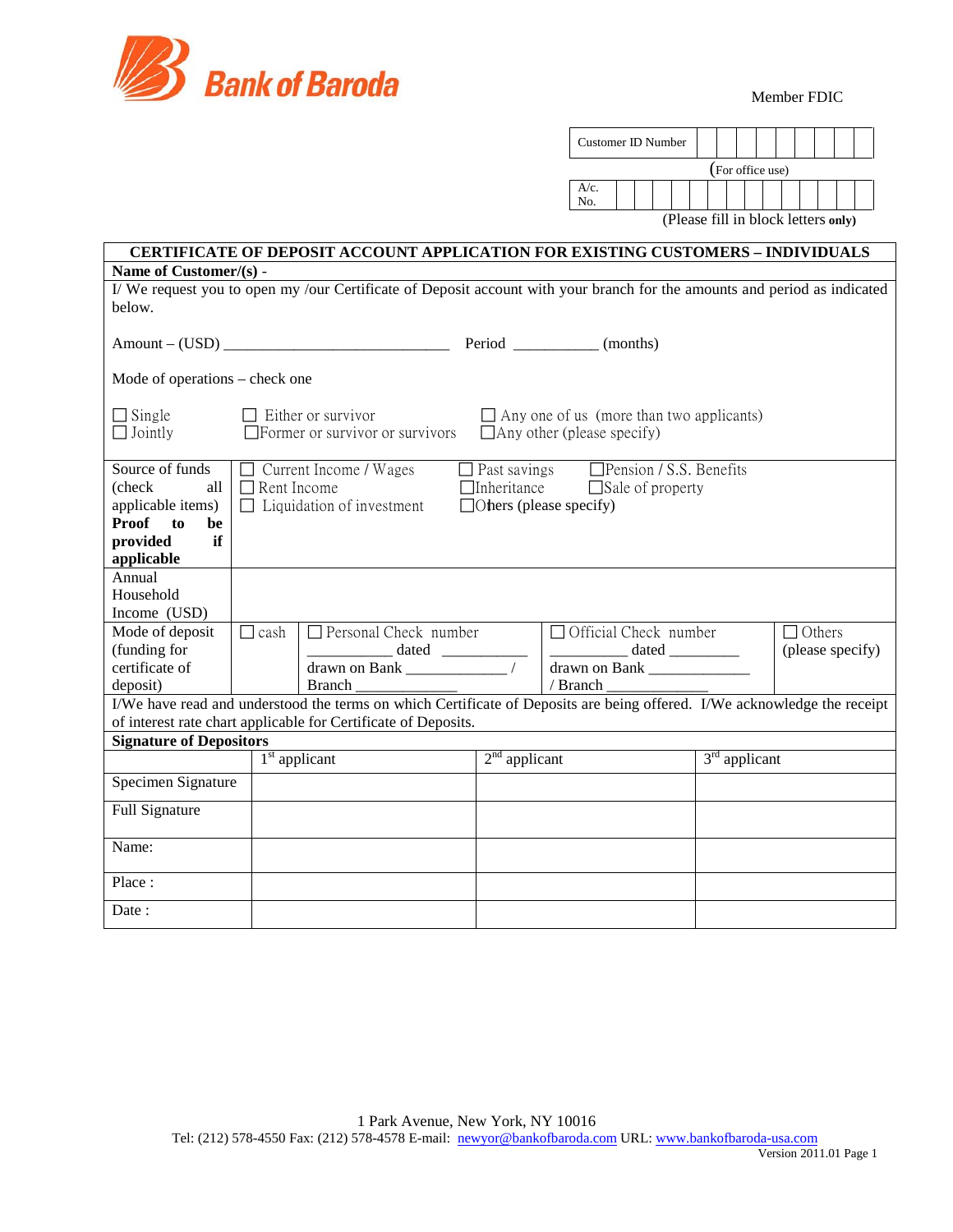

|                                                                                                                                                                                                                                                                                                                                                           |                 |                                                                                                                          |                 | Customer ID Number                                                                         |                  |                                     |
|-----------------------------------------------------------------------------------------------------------------------------------------------------------------------------------------------------------------------------------------------------------------------------------------------------------------------------------------------------------|-----------------|--------------------------------------------------------------------------------------------------------------------------|-----------------|--------------------------------------------------------------------------------------------|------------------|-------------------------------------|
|                                                                                                                                                                                                                                                                                                                                                           |                 |                                                                                                                          |                 | $A/c$ .<br>No.                                                                             | (For office use) | (Please fill in block letters only) |
|                                                                                                                                                                                                                                                                                                                                                           |                 | <b>CERTIFICATE OF DEPOSIT ACCOUNT APPLICATION FOR EXISTING CUSTOMERS - INDIVIDUALS</b>                                   |                 |                                                                                            |                  |                                     |
| Name of Customer/(s) -                                                                                                                                                                                                                                                                                                                                    |                 |                                                                                                                          |                 |                                                                                            |                  |                                     |
| below.                                                                                                                                                                                                                                                                                                                                                    |                 | I/We request you to open my /our Certificate of Deposit account with your branch for the amounts and period as indicated |                 |                                                                                            |                  |                                     |
|                                                                                                                                                                                                                                                                                                                                                           |                 |                                                                                                                          |                 |                                                                                            |                  |                                     |
| Mode of operations – check one                                                                                                                                                                                                                                                                                                                            |                 |                                                                                                                          |                 |                                                                                            |                  |                                     |
| $\Box$ Single<br>$\Box$ Jointly                                                                                                                                                                                                                                                                                                                           |                 | $\Box$ Either or survivor<br>$\Box$ Former or survivor or survivors                                                      |                 | $\Box$ Any one of us (more than two applicants)<br>$\Box$ Any other (please specify)       |                  |                                     |
| Source of funds<br>$\Box$ Pension / S.S. Benefits<br>$\Box$ Current Income / Wages<br>$\Box$ Past savings<br>(check)<br>all<br>$\Box$ Rent Income<br>$\Box$ Inheritance<br>$\Box$ Sale of property<br>$\Box$ Liquidation of investment<br>$\Box$ Others (please specify)<br>applicable items)<br><b>Proof</b><br>to<br>be<br>provided<br>if<br>applicable |                 |                                                                                                                          |                 |                                                                                            |                  |                                     |
| Annual<br>Household<br>Income (USD)                                                                                                                                                                                                                                                                                                                       |                 |                                                                                                                          |                 |                                                                                            |                  |                                     |
| Mode of deposit<br>(funding for<br>certificate of<br>deposit)                                                                                                                                                                                                                                                                                             | $\Box$ cash     | $\Box$ Personal Check number<br>dated<br>drawn on Bank<br><b>Branch</b>                                                  |                 | $\Box$ Official Check number<br>$\Box$ Others<br>drawn on Bank _______________<br>/ Branch |                  | (please specify)                    |
| I/We have read and understood the terms on which Certificate of Deposits are being offered. I/We acknowledge the receipt<br>of interest rate chart applicable for Certificate of Deposits.                                                                                                                                                                |                 |                                                                                                                          |                 |                                                                                            |                  |                                     |
| <b>Signature of Depositors</b>                                                                                                                                                                                                                                                                                                                            |                 |                                                                                                                          |                 |                                                                                            |                  |                                     |
|                                                                                                                                                                                                                                                                                                                                                           | $1st$ applicant |                                                                                                                          | $2nd$ applicant |                                                                                            | $3rd$ applicant  |                                     |
| Specimen Signature                                                                                                                                                                                                                                                                                                                                        |                 |                                                                                                                          |                 |                                                                                            |                  |                                     |
| <b>Full Signature</b>                                                                                                                                                                                                                                                                                                                                     |                 |                                                                                                                          |                 |                                                                                            |                  |                                     |
| Name:                                                                                                                                                                                                                                                                                                                                                     |                 |                                                                                                                          |                 |                                                                                            |                  |                                     |
| Place:                                                                                                                                                                                                                                                                                                                                                    |                 |                                                                                                                          |                 |                                                                                            |                  |                                     |
| Date:                                                                                                                                                                                                                                                                                                                                                     |                 |                                                                                                                          |                 |                                                                                            |                  |                                     |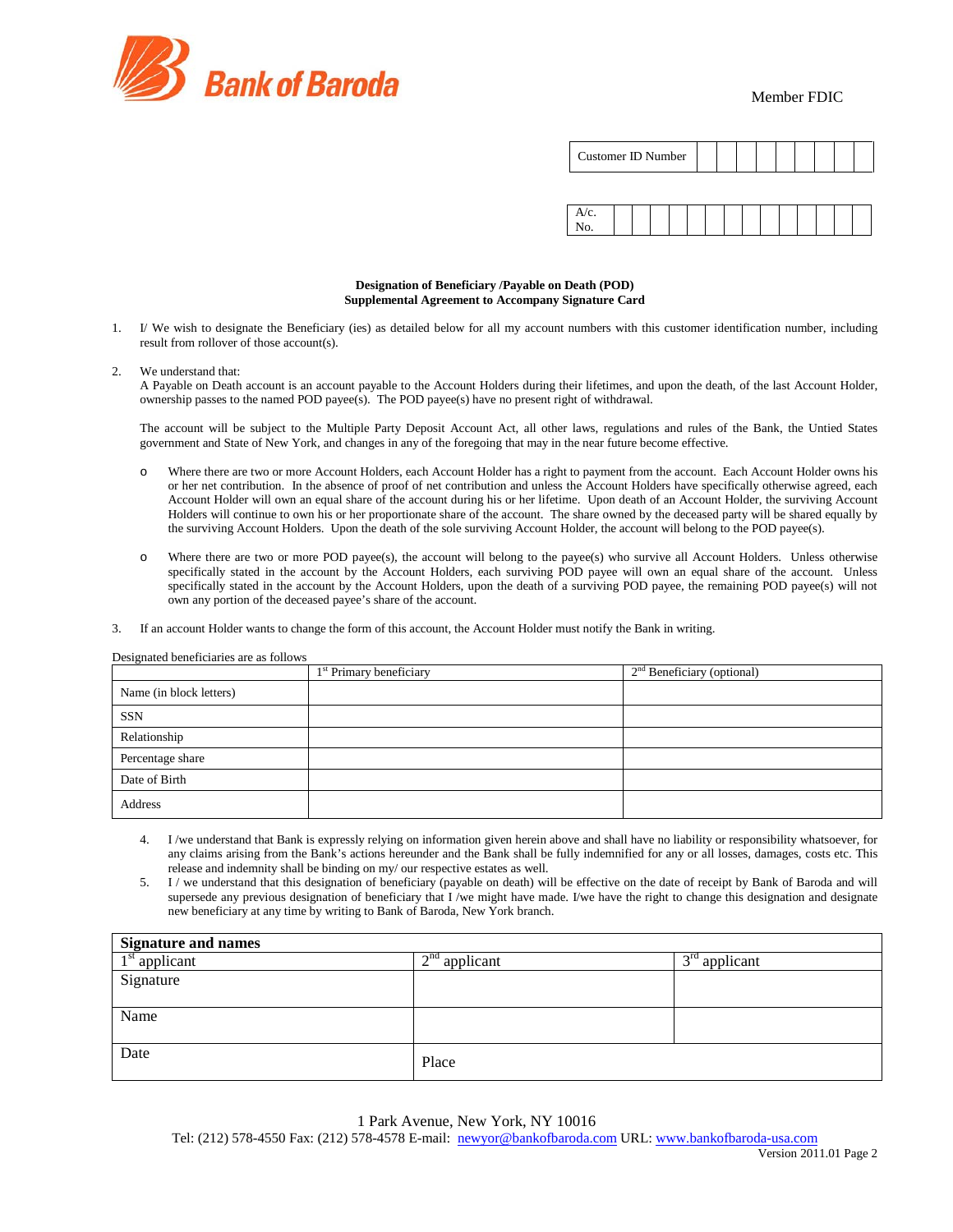

Member FDIC

| Customer ID Number |  |  |  |  |  |  |  |  |  |
|--------------------|--|--|--|--|--|--|--|--|--|
|--------------------|--|--|--|--|--|--|--|--|--|



### **Designation of Beneficiary /Payable on Death (POD) Supplemental Agreement to Accompany Signature Card**

- 1. I/ We wish to designate the Beneficiary (ies) as detailed below for all my account numbers with this customer identification number, including result from rollover of those account(s).
- 2. We understand that:

A Payable on Death account is an account payable to the Account Holders during their lifetimes, and upon the death, of the last Account Holder, ownership passes to the named POD payee(s). The POD payee(s) have no present right of withdrawal.

The account will be subject to the Multiple Party Deposit Account Act, all other laws, regulations and rules of the Bank, the Untied States government and State of New York, and changes in any of the foregoing that may in the near future become effective.

- o Where there are two or more Account Holders, each Account Holder has a right to payment from the account. Each Account Holder owns his or her net contribution. In the absence of proof of net contribution and unless the Account Holders have specifically otherwise agreed, each Account Holder will own an equal share of the account during his or her lifetime. Upon death of an Account Holder, the surviving Account Holders will continue to own his or her proportionate share of the account. The share owned by the deceased party will be shared equally by the surviving Account Holders. Upon the death of the sole surviving Account Holder, the account will belong to the POD payee(s).
- o Where there are two or more POD payee(s), the account will belong to the payee(s) who survive all Account Holders. Unless otherwise specifically stated in the account by the Account Holders, each surviving POD payee will own an equal share of the account. Unless specifically stated in the account by the Account Holders, upon the death of a surviving POD payee, the remaining POD payee(s) will not own any portion of the deceased payee's share of the account.
- 3. If an account Holder wants to change the form of this account, the Account Holder must notify the Bank in writing.

|                         | 1 <sup>st</sup> Primary beneficiary | $2nd$ Beneficiary (optional) |
|-------------------------|-------------------------------------|------------------------------|
| Name (in block letters) |                                     |                              |
| SSN                     |                                     |                              |
| Relationship            |                                     |                              |
| Percentage share        |                                     |                              |
| Date of Birth           |                                     |                              |
| Address                 |                                     |                              |

- 4. I /we understand that Bank is expressly relying on information given herein above and shall have no liability or responsibility whatsoever, for any claims arising from the Bank's actions hereunder and the Bank shall be fully indemnified for any or all losses, damages, costs etc. This release and indemnity shall be binding on my/ our respective estates as well.
- 5. I / we understand that this designation of beneficiary (payable on death) will be effective on the date of receipt by Bank of Baroda and will supersede any previous designation of beneficiary that I /we might have made. I/we have the right to change this designation and designate new beneficiary at any time by writing to Bank of Baroda, New York branch.

| <b>Signature and names</b> |                 |                 |  |  |  |
|----------------------------|-----------------|-----------------|--|--|--|
| $1st$ applicant            | $2nd$ applicant | $3rd$ applicant |  |  |  |
| Signature                  |                 |                 |  |  |  |
|                            |                 |                 |  |  |  |
| Name                       |                 |                 |  |  |  |
|                            |                 |                 |  |  |  |
| Date                       | Place           |                 |  |  |  |

 1 Park Avenue, New York, NY 10016 Tel: (212) 578-4550 Fax: (212) 578-4578 E-mail: [newyor@bankofbaroda.com](mailto:newyor@bankofbaroda.com) URL: [www.bankofbaroda-usa.com](http://www.bankofbaroda-usa.com/)

#### Designated beneficiaries are as follows